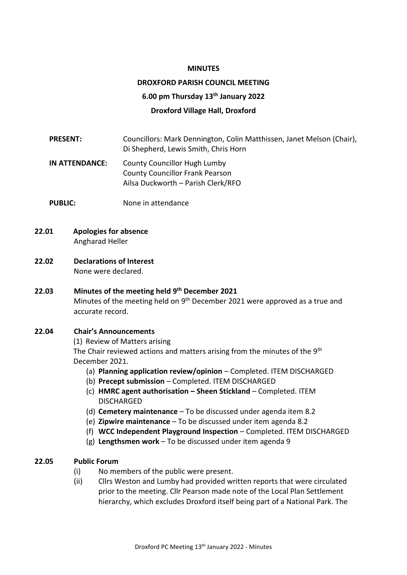#### **MINUTES**

# **DROXFORD PARISH COUNCIL MEETING 6.00 pm Thursday 13th January 2022 Droxford Village Hall, Droxford**

**PRESENT:** Councillors: Mark Dennington, Colin Matthissen, Janet Melson (Chair), Di Shepherd, Lewis Smith, Chris Horn

**IN ATTENDANCE:** County Councillor Hugh Lumby County Councillor Frank Pearson Ailsa Duckworth – Parish Clerk/RFO

- **PUBLIC:** None in attendance
- **22.01 Apologies for absence** Angharad Heller
- **22.02 Declarations of Interest** None were declared.

**22.03 Minutes of the meeting held 9 th December 2021** Minutes of the meeting held on  $9<sup>th</sup>$  December 2021 were approved as a true and accurate record.

#### **22.04 Chair's Announcements**

(1) Review of Matters arising The Chair reviewed actions and matters arising from the minutes of the 9<sup>th</sup> December 2021.

- (a) **Planning application review/opinion** Completed. ITEM DISCHARGED
- (b) **Precept submission** Completed. ITEM DISCHARGED
- (c) **HMRC agent authorisation – Sheen Stickland** Completed. ITEM DISCHARGED
- (d) **Cemetery maintenance** To be discussed under agenda item 8.2
- (e) **Zipwire maintenance** To be discussed under item agenda 8.2
- (f) **WCC Independent Playground Inspection** Completed. ITEM DISCHARGED
- (g) **Lengthsmen work** To be discussed under item agenda 9

## **22.05 Public Forum**

- (i) No members of the public were present.
- (ii) Cllrs Weston and Lumby had provided written reports that were circulated prior to the meeting. Cllr Pearson made note of the Local Plan Settlement hierarchy, which excludes Droxford itself being part of a National Park. The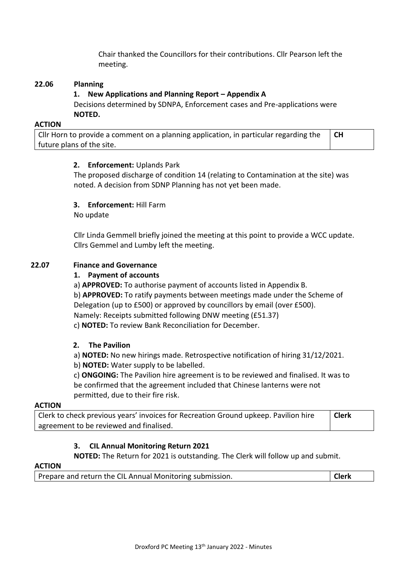Chair thanked the Councillors for their contributions. Cllr Pearson left the meeting.

## **22.06 Planning**

## **1. New Applications and Planning Report – Appendix A**

Decisions determined by SDNPA, Enforcement cases and Pre-applications were **NOTED.**

#### **ACTION**

Cllr Horn to provide a comment on a planning application, in particular regarding the future plans of the site. **CH**

## **2. Enforcement:** Uplands Park

The proposed discharge of condition 14 (relating to Contamination at the site) was noted. A decision from SDNP Planning has not yet been made.

# **3. Enforcement:** Hill Farm

No update

Cllr Linda Gemmell briefly joined the meeting at this point to provide a WCC update. Cllrs Gemmel and Lumby left the meeting.

# **22.07 Finance and Governance**

## **1. Payment of accounts**

a) **APPROVED:** To authorise payment of accounts listed in Appendix B.

b) **APPROVED:** To ratify payments between meetings made under the Scheme of Delegation (up to £500) or approved by councillors by email (over £500). Namely: Receipts submitted following DNW meeting (£51.37)

c) **NOTED:** To review Bank Reconciliation for December.

## **2. The Pavilion**

a) **NOTED:** No new hirings made. Retrospective notification of hiring 31/12/2021.

b) **NOTED:** Water supply to be labelled.

c) **ONGOING:** The Pavilion hire agreement is to be reviewed and finalised. It was to be confirmed that the agreement included that Chinese lanterns were not permitted, due to their fire risk.

#### **ACTION**

Clerk to check previous years' invoices for Recreation Ground upkeep. Pavilion hire agreement to be reviewed and finalised. **Clerk**

## **3. CIL Annual Monitoring Return 2021**

**NOTED:** The Return for 2021 is outstanding. The Clerk will follow up and submit.

#### **ACTION**

| <b>Clerk</b><br>Prepare and return the CIL Annual Monitoring submission. |  |
|--------------------------------------------------------------------------|--|
|--------------------------------------------------------------------------|--|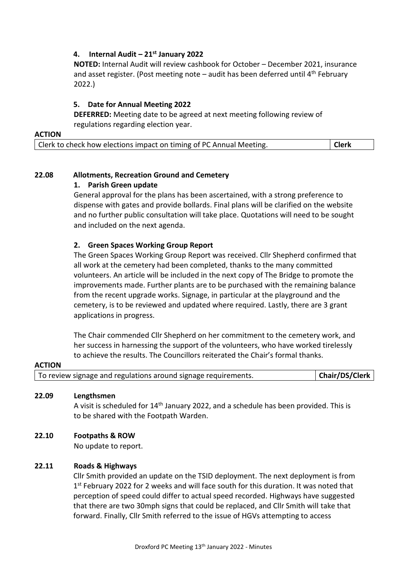## **4. Internal Audit – 21st January 2022**

**NOTED:** Internal Audit will review cashbook for October – December 2021, insurance and asset register. (Post meeting note  $-$  audit has been deferred until  $4<sup>th</sup>$  February 2022.)

## **5. Date for Annual Meeting 2022**

**DEFERRED:** Meeting date to be agreed at next meeting following review of regulations regarding election year.

#### **ACTION**

| Clerk to check how elections impact on timing of PC Annual Meeting. | <b>Clerk</b> |
|---------------------------------------------------------------------|--------------|
|---------------------------------------------------------------------|--------------|

# **22.08 Allotments, Recreation Ground and Cemetery**

## **1. Parish Green update**

General approval for the plans has been ascertained, with a strong preference to dispense with gates and provide bollards. Final plans will be clarified on the website and no further public consultation will take place. Quotations will need to be sought and included on the next agenda.

# **2. Green Spaces Working Group Report**

The Green Spaces Working Group Report was received. Cllr Shepherd confirmed that all work at the cemetery had been completed, thanks to the many committed volunteers. An article will be included in the next copy of The Bridge to promote the improvements made. Further plants are to be purchased with the remaining balance from the recent upgrade works. Signage, in particular at the playground and the cemetery, is to be reviewed and updated where required. Lastly, there are 3 grant applications in progress.

The Chair commended Cllr Shepherd on her commitment to the cemetery work, and her success in harnessing the support of the volunteers, who have worked tirelessly to achieve the results. The Councillors reiterated the Chair's formal thanks.

# **ACTION** To review signage and regulations around signage requirements. **Chair/DS/Clerk**

## **22.09 Lengthsmen**

A visit is scheduled for 14th January 2022, and a schedule has been provided. This is to be shared with the Footpath Warden.

## **22.10 Footpaths & ROW**

No update to report.

## **22.11 Roads & Highways**

Cllr Smith provided an update on the TSID deployment. The next deployment is from 1<sup>st</sup> February 2022 for 2 weeks and will face south for this duration. It was noted that perception of speed could differ to actual speed recorded. Highways have suggested that there are two 30mph signs that could be replaced, and Cllr Smith will take that forward. Finally, Cllr Smith referred to the issue of HGVs attempting to access